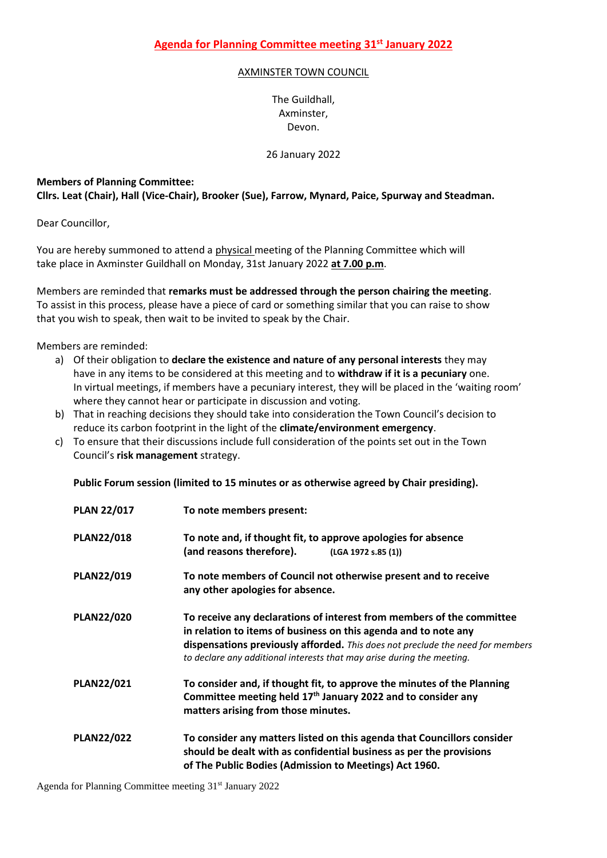## AXMINSTER TOWN COUNCIL

The Guildhall, Axminster, Devon.

## 26 January 2022

## **Members of Planning Committee:**

**Cllrs. Leat (Chair), Hall (Vice-Chair), Brooker (Sue), Farrow, Mynard, Paice, Spurway and Steadman.**

Dear Councillor,

You are hereby summoned to attend a physical meeting of the Planning Committee which will take place in Axminster Guildhall on Monday, 31st January 2022 **at 7.00 p.m**.

Members are reminded that **remarks must be addressed through the person chairing the meeting**. To assist in this process, please have a piece of card or something similar that you can raise to show that you wish to speak, then wait to be invited to speak by the Chair.

Members are reminded:

- a) Of their obligation to **declare the existence and nature of any personal interests** they may have in any items to be considered at this meeting and to **withdraw if it is a pecuniary** one. In virtual meetings, if members have a pecuniary interest, they will be placed in the 'waiting room' where they cannot hear or participate in discussion and voting.
- b) That in reaching decisions they should take into consideration the Town Council's decision to reduce its carbon footprint in the light of the **climate/environment emergency**.
- c) To ensure that their discussions include full consideration of the points set out in the Town Council's **risk management** strategy.

**Public Forum session (limited to 15 minutes or as otherwise agreed by Chair presiding).**

| <b>PLAN 22/017</b> | To note members present:                                                                                                                                                                                                                                                                             |
|--------------------|------------------------------------------------------------------------------------------------------------------------------------------------------------------------------------------------------------------------------------------------------------------------------------------------------|
| <b>PLAN22/018</b>  | To note and, if thought fit, to approve apologies for absence<br>(and reasons therefore).<br>(LGA 1972 s.85 (1))                                                                                                                                                                                     |
| <b>PLAN22/019</b>  | To note members of Council not otherwise present and to receive<br>any other apologies for absence.                                                                                                                                                                                                  |
| <b>PLAN22/020</b>  | To receive any declarations of interest from members of the committee<br>in relation to items of business on this agenda and to note any<br>dispensations previously afforded. This does not preclude the need for members<br>to declare any additional interests that may arise during the meeting. |
| <b>PLAN22/021</b>  | To consider and, if thought fit, to approve the minutes of the Planning<br>Committee meeting held 17 <sup>th</sup> January 2022 and to consider any<br>matters arising from those minutes.                                                                                                           |
| <b>PLAN22/022</b>  | To consider any matters listed on this agenda that Councillors consider<br>should be dealt with as confidential business as per the provisions<br>of The Public Bodies (Admission to Meetings) Act 1960.                                                                                             |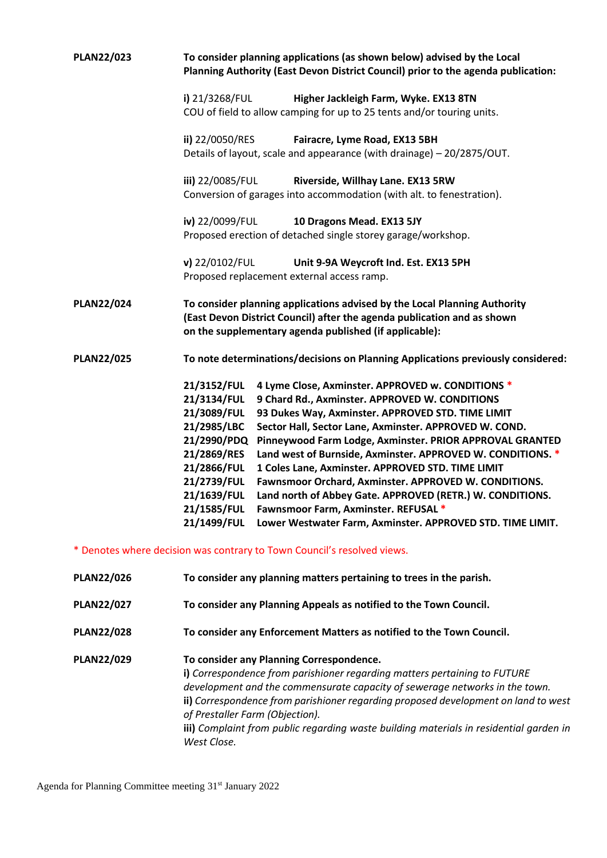| <b>PLAN22/023</b> | To consider planning applications (as shown below) advised by the Local<br>Planning Authority (East Devon District Council) prior to the agenda publication:                                                                                                                                                                                                                                                                                                                                                                                                                                                                                                                                                                                                                                  |
|-------------------|-----------------------------------------------------------------------------------------------------------------------------------------------------------------------------------------------------------------------------------------------------------------------------------------------------------------------------------------------------------------------------------------------------------------------------------------------------------------------------------------------------------------------------------------------------------------------------------------------------------------------------------------------------------------------------------------------------------------------------------------------------------------------------------------------|
|                   | i) 21/3268/FUL<br>Higher Jackleigh Farm, Wyke. EX13 8TN<br>COU of field to allow camping for up to 25 tents and/or touring units.                                                                                                                                                                                                                                                                                                                                                                                                                                                                                                                                                                                                                                                             |
|                   | ii) 22/0050/RES<br>Fairacre, Lyme Road, EX13 5BH<br>Details of layout, scale and appearance (with drainage) - 20/2875/OUT.                                                                                                                                                                                                                                                                                                                                                                                                                                                                                                                                                                                                                                                                    |
|                   | iii) 22/0085/FUL<br>Riverside, Willhay Lane. EX13 5RW<br>Conversion of garages into accommodation (with alt. to fenestration).                                                                                                                                                                                                                                                                                                                                                                                                                                                                                                                                                                                                                                                                |
|                   | iv) 22/0099/FUL<br>10 Dragons Mead. EX13 5JY<br>Proposed erection of detached single storey garage/workshop.                                                                                                                                                                                                                                                                                                                                                                                                                                                                                                                                                                                                                                                                                  |
|                   | v) 22/0102/FUL<br>Unit 9-9A Weycroft Ind. Est. EX13 5PH<br>Proposed replacement external access ramp.                                                                                                                                                                                                                                                                                                                                                                                                                                                                                                                                                                                                                                                                                         |
| <b>PLAN22/024</b> | To consider planning applications advised by the Local Planning Authority<br>(East Devon District Council) after the agenda publication and as shown<br>on the supplementary agenda published (if applicable):                                                                                                                                                                                                                                                                                                                                                                                                                                                                                                                                                                                |
| <b>PLAN22/025</b> | To note determinations/decisions on Planning Applications previously considered:                                                                                                                                                                                                                                                                                                                                                                                                                                                                                                                                                                                                                                                                                                              |
|                   | 21/3152/FUL<br>4 Lyme Close, Axminster. APPROVED w. CONDITIONS *<br>21/3134/FUL<br>9 Chard Rd., Axminster. APPROVED W. CONDITIONS<br>21/3089/FUL<br>93 Dukes Way, Axminster. APPROVED STD. TIME LIMIT<br>21/2985/LBC<br>Sector Hall, Sector Lane, Axminster. APPROVED W. COND.<br>21/2990/PDQ Pinneywood Farm Lodge, Axminster. PRIOR APPROVAL GRANTED<br>21/2869/RES<br>Land west of Burnside, Axminster. APPROVED W. CONDITIONS. *<br>21/2866/FUL<br>1 Coles Lane, Axminster. APPROVED STD. TIME LIMIT<br>Fawnsmoor Orchard, Axminster. APPROVED W. CONDITIONS.<br>21/2739/FUL<br>Land north of Abbey Gate. APPROVED (RETR.) W. CONDITIONS.<br>21/1639/FUL<br>21/1585/FUL Fawnsmoor Farm, Axminster. REFUSAL *<br>Lower Westwater Farm, Axminster. APPROVED STD. TIME LIMIT.<br>21/1499/FUL |
|                   | * Denotes where decision was contrary to Town Council's resolved views.                                                                                                                                                                                                                                                                                                                                                                                                                                                                                                                                                                                                                                                                                                                       |
| <b>PLAN22/026</b> | To consider any planning matters pertaining to trees in the parish.                                                                                                                                                                                                                                                                                                                                                                                                                                                                                                                                                                                                                                                                                                                           |
| <b>PLAN22/027</b> | To consider any Planning Appeals as notified to the Town Council.                                                                                                                                                                                                                                                                                                                                                                                                                                                                                                                                                                                                                                                                                                                             |
| <b>PLAN22/028</b> | To consider any Enforcement Matters as notified to the Town Council.                                                                                                                                                                                                                                                                                                                                                                                                                                                                                                                                                                                                                                                                                                                          |
| <b>PLAN22/029</b> | To consider any Planning Correspondence.<br>i) Correspondence from parishioner regarding matters pertaining to FUTURE<br>development and the commensurate capacity of sewerage networks in the town.                                                                                                                                                                                                                                                                                                                                                                                                                                                                                                                                                                                          |

**ii)** *Correspondence from parishioner regarding proposed development on land to west of Prestaller Farm (Objection).*

**iii)** *Complaint from public regarding waste building materials in residential garden in West Close.*